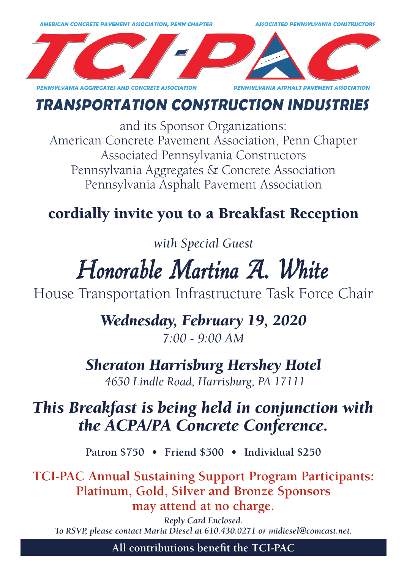

## **TRANSPORTATION CONSTRUCTION INDUSTRIES**

and its Sponsor Organizations: American Concrete Pavement Association, Penn Chapter Associated Pennsylvania Constructors Pennsylvania Aggregates & Concrete Association Pennsylvania Asphalt Pavement Association

# cordially invite you to a Breakfast Reception

*with Special Guest*

# Honorable Martina A. White

House Transportation Infrastructure Task Force Chair

*Wednesday, February 19, 2020 7:00 - 9:00 AM*

*Sheraton Harrisburg Hershey Hotel 4650 Lindle Road, Harrisburg, PA 17111*

# *This Breakfast is being held in conjunction with the ACPA/PA Concrete Conference.*

**Patron \$750 • Friend \$500 • Individual \$250**

**TCI-PAC Annual Sustaining Support Program Participants: Platinum, Gold, Silver and Bronze Sponsors may attend at no charge.**

*Reply Card Enclosed. To RSVP, please contact Maria Diesel at 610.430.0271 or midiesel@comcast.net.*

**All contributions benefit the TCI-PAC**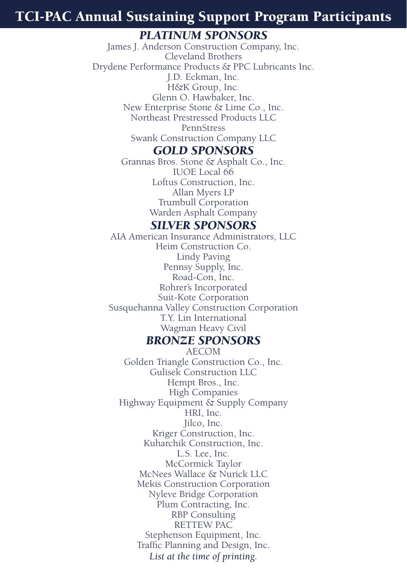## TCI-PAC Annual Sustaining Support Program Participants

## *PLATINUM SPONSORS*

James J. Anderson Construction Company, Inc. Cleveland Brothers Drydene Performance Products & PPC Lubricants Inc. J.D. Eckman, Inc. H&K Group, Inc. Glenn O. Hawbaker, Inc. New Enterprise Stone & Lime Co., Inc. Northeast Prestressed Products LLC PennStress Swank Construction Company LLC

#### *GOLD SPONSORS*

Grannas Bros. Stone & Asphalt Co., Inc. IUOE Local 66 Loftus Construction, Inc. Allan Myers LP Trumbull Corporation Warden Asphalt Company

### *SILVER SPONSORS*

AIA American Insurance Administrators, LLC Heim Construction Co. Lindy Paving Pennsy Supply, Inc. Road-Con, Inc. Rohrer's Incorporated Suit-Kote Corporation Susquehanna Valley Construction Corporation T.Y. Lin International Wagman Heavy Civil

#### *BRONZE SPONSORS*

AECOM Golden Triangle Construction Co., Inc. Gulisek Construction LLC Hempt Bros., Inc. High Companies Highway Equipment & Supply Company HRI, Inc. Jilco, Inc. Kriger Construction, Inc. Kuharchik Construction, Inc. L.S. Lee, Inc. McCormick Taylor McNees Wallace & Nurick LLC Mekis Construction Corporation Nyleve Bridge Corporation Plum Contracting, Inc. RBP Consulting RETTEW PAC Stephenson Equipment, Inc. Traffic Planning and Design, Inc. *List at the time of printing.*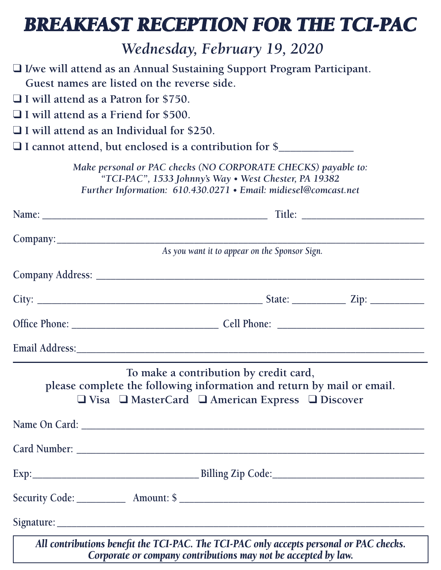# *BREAKFAST RECEPTION FOR THE TCI-PAC*

 *Wednesday, February 19, 2020*

|                                                  | $\Box$ I/we will attend as an Annual Sustaining Support Program Participant.                                                                                                              |  |
|--------------------------------------------------|-------------------------------------------------------------------------------------------------------------------------------------------------------------------------------------------|--|
| Guest names are listed on the reverse side.      |                                                                                                                                                                                           |  |
| I will attend as a Patron for \$750.             |                                                                                                                                                                                           |  |
| I will attend as a Friend for \$500.             |                                                                                                                                                                                           |  |
| $\Box$ I will attend as an Individual for \$250. |                                                                                                                                                                                           |  |
|                                                  | $\Box$ I cannot attend, but enclosed is a contribution for \$                                                                                                                             |  |
|                                                  | Make personal or PAC checks (NO CORPORATE CHECKS) payable to:<br>"TCI-PAC", 1533 Johnny's Way . West Chester, PA 19382<br>Further Information: 610.430.0271 • Email: midiesel@comcast.net |  |
|                                                  |                                                                                                                                                                                           |  |
|                                                  |                                                                                                                                                                                           |  |
|                                                  | As you want it to appear on the Sponsor Sign.                                                                                                                                             |  |
|                                                  |                                                                                                                                                                                           |  |
|                                                  |                                                                                                                                                                                           |  |
|                                                  |                                                                                                                                                                                           |  |
|                                                  |                                                                                                                                                                                           |  |
|                                                  | To make a contribution by credit card,<br>please complete the following information and return by mail or email.<br>□ Visa □ MasterCard □ American Express □ Discover                     |  |
|                                                  |                                                                                                                                                                                           |  |
|                                                  |                                                                                                                                                                                           |  |
|                                                  |                                                                                                                                                                                           |  |
|                                                  |                                                                                                                                                                                           |  |
|                                                  | All contributions benefit the TCI-PAC. The TCI-PAC only accepts personal or PAC checks.<br>Corporate or company contributions may not be accepted by law.                                 |  |